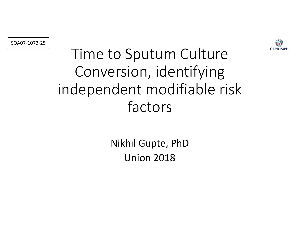



## Time to Sputum Culture Conversion, identifying independent modifiable risk factors

Nikhil Gupte, PhD **Union 2018**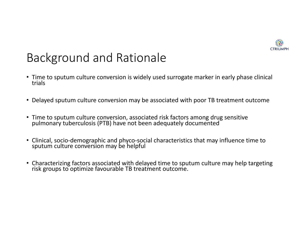

### Background and Rationale

- Time to sputum culture conversion is widely used surrogate marker in early phase clinical trials
- Delayed sputum culture conversion may be associated with poor TB treatment outcome
- Time to sputum culture conversion, associated risk factors among drug sensitive pulmonary tuberculosis (PTB) have not been adequately documented
- Clinical, socio-demographic and phyco-social characteristics that may influence time to sputum culture conversion may be helpful
- Characterizing factors associated with delayed time to sputum culture may help targeting risk groups to optimize favourable TB treatment outcome.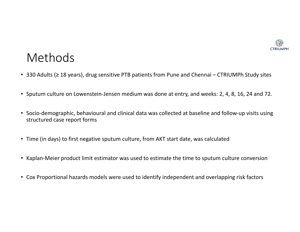

#### Methods

- 330 Adults (≥ 18 years), drug sensitive PTB patients from Pune and Chennai CTRIUMPh Study sites
- Sputum culture on Lowenstein-Jensen medium was done at entry, and weeks: 2, 4, 8, 16, 24 and 72.
- Socio-demographic, behavioural and clinical data was collected at baseline and follow-up visits using structured case report forms
- Time (in days) to first negative sputum culture, from AKT start date, was calculated
- Kaplan-Meier product limit estimator was used to estimate the time to sputum culture conversion
- Cox Proportional hazards models were used to identify independent and overlapping risk factors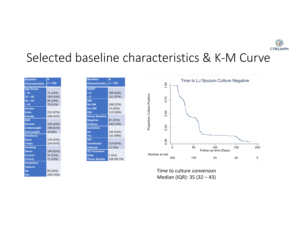

#### Selected baseline characteristics & K-M Curve

| <b>Baseline</b>        | N         |  |
|------------------------|-----------|--|
| <b>Characteristics</b> | $n = 330$ |  |
| <b>Age Group</b>       |           |  |
| $25$                   | 71 (22%)  |  |
| $25 - 40$              | 109 (33%) |  |
| $40 - 50$              | 80 (24%)  |  |
| > 50                   | 70 (21%)  |  |
| Gender                 |           |  |
| <b>Male</b>            | 222 (67%) |  |
| <b>Female</b>          | 108 (33%) |  |
| <b>BMI</b>             |           |  |
| <b>Normal</b>          | 109 (34%) |  |
| <b>Underweight</b>     | 198 (61%) |  |
| <b>Overweight</b>      | 18 (6%)   |  |
| <b>Residence</b>       |           |  |
| <b>Rural</b>           | 176 (53%) |  |
| <b>Urban</b>           | 154 (47%) |  |
| <b>Smoking</b>         |           |  |
| <b>Never</b>           | 189 (62%) |  |
| <b>Current</b>         | 47 (15%)  |  |
| <b>Former</b>          | 71 (23%)  |  |
| <b>Smokeless</b>       |           |  |
| tobacco                |           |  |
| No                     | 85 (26%)  |  |
| Yes                    | 238 (74%) |  |

| <b>Baseline</b>        | N           |
|------------------------|-------------|
| <b>Characteristics</b> | $n = 330$   |
| <b>AUDIT</b>           |             |
| < 8                    | 209 (63%)   |
| > 8                    | 121 (37%)   |
| <b>DM</b>              |             |
| <b>No DM</b>           | 108 (37%)   |
| Pre DM                 | 73 (25%)    |
| <b>DM</b>              | 110 (38%)   |
| <b>Smear Baseline</b>  |             |
| <b>Negative</b>        | 87 (27%)    |
| <b>Positive</b>        | 240 (73%)   |
| <b>Cavitation</b>      |             |
| No                     | 144 (52%)   |
| Yes                    | 133 (48%)   |
| <b>HIV</b>             |             |
| <b>Uninfected</b>      | 319 (97%)   |
| <b>Infected</b>        | 11 (3%)     |
| <b>TB Treatment</b>    |             |
| <b>Daily</b>           | 1(0.3)      |
| <b>Thrice Weekly</b>   | 328 (99.7%) |



Time to culture conversion Median (IQR): 35 (32 - 43)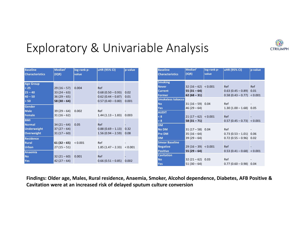### Exploratory & Univariable Analysis

| <b>Baseline</b><br><b>Characteristics</b>                              | Median <sup>1</sup><br>(IQR)                             | log-rank p-<br>value | uHR (95% CI)                                                             | p-value               |
|------------------------------------------------------------------------|----------------------------------------------------------|----------------------|--------------------------------------------------------------------------|-----------------------|
| <b>Age Group</b><br>< 25<br>$25 - 40$<br>$40 - 50$<br>> 50             | $29(16-57)$<br>$33(24-63)$<br>$36(29-65)$<br>$58(30-64)$ | 0.004                | Ref<br>$0.68(0.50 - 0.93)$<br>$0.62(0.44 - 0.87)$<br>$0.57(0.40 - 0.80)$ | 0.02<br>0.01<br>0.001 |
| Gender<br><b>Male</b><br>Female                                        | $39(29-64)$<br>$31(16-62)$                               | 0.002                | Ref<br>$1.44(1.13 - 1.83)$                                               | 0.003                 |
| <b>BMI</b><br><b>Normal</b><br><b>Underweight</b><br><b>Overweight</b> | $34(21-64)$<br>$37(27-64)$<br>$31(17-60)$                | 0.05                 | Ref<br>$0.88(0.69 - 1.13)$<br>$1.56(0.94 - 2.59)$                        | 0.32<br>0.08          |
| <b>Residence</b><br><b>Rural</b><br><b>Urban</b>                       | $61(32-65)$<br>$27(15-51)$                               | < 0.001              | Ref<br>$1.85(1.47 - 2.33) < 0.001$                                       |                       |
| <b>Anaemia</b><br><b>No</b><br>Yes                                     | $32(21-60)$<br>$42(27-64)$                               | 0.001                | Ref<br>$0.66(0.51 - 0.85)$                                               | 0.002                 |

| <b>Baseline</b><br><b>Characteristics</b> | <b>Median<sup>t</sup></b><br>(IQR) | log-rank p-<br>value | <b>uHR (95% CI)</b>          | p-value |
|-------------------------------------------|------------------------------------|----------------------|------------------------------|---------|
| <b>Smoking</b>                            |                                    |                      |                              |         |
| <b>Never</b>                              | $32(16-62) < 0.001$                |                      | Ref                          | Ref     |
| <b>Current</b>                            | $55(31-64)$                        |                      | $0.63(0.45 - 0.89)0.01$      |         |
| <b>Former</b>                             | $62(68 - 31)$                      |                      | $0.58(0.43 - 0.77) < 0.001$  |         |
| <b>Smokeless tobacco</b>                  |                                    |                      |                              |         |
| <b>No</b>                                 | $31(16-59)$ 0.04                   |                      | Ref                          |         |
| Yes                                       | $46(29-64)$                        |                      | $1.30(1.00 - 1.68)$ 0.05     |         |
| <b>AUDIT</b>                              |                                    |                      |                              |         |
| < 8                                       | $21(17-62) < 0.001$                |                      | Ref                          |         |
| > 8                                       | $58(31 - 71)$                      |                      | $0.57$ (0.45 - 0.73) < 0.001 |         |
| <b>DM</b>                                 |                                    |                      |                              |         |
| <b>No DM</b>                              | $31(17-58)$ 0.04                   |                      | Ref                          |         |
| <b>Pre DM</b>                             | $35(16-64)$                        |                      | $0.73(0.53 - 1.01)0.06$      |         |
| <b>DM</b>                                 | $39(29-64)$                        |                      | $0.72$ (0.55 - 0.96) 0.02    |         |
| <b>Smear Baseline</b>                     |                                    |                      |                              |         |
| <b>Negative</b>                           | $29(16-39) < 0.001$                |                      | Ref                          |         |
| <b>Positive</b>                           | $55(29-64)$                        |                      | $0.53(0.41 - 0.68) < 0.001$  |         |
| <b>Cavitation</b>                         |                                    |                      |                              |         |
| <b>No</b>                                 | $32(21-62)$ 0.03                   |                      | Ref                          |         |
| Yes                                       | $51(30-64)$                        |                      | $0.77(0.60 - 0.98)0.04$      |         |

**CTRIUMPH** 

Findings: Older age, Males, Rural residence, Anaemia, Smoker, Alcohol dependence, Diabetes, AFB Positive & Cavitation were at an increased risk of delayed sputum culture conversion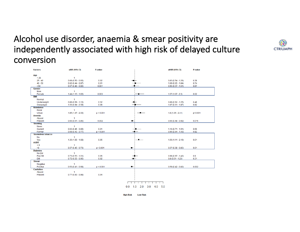#### Alcohol use disorder, anaemia & smear positivity are independently associated with high risk of delayed culture conversion

| <b>Factors</b>           | ulRR (95% CI)       | <b>P-value</b> |                | aHRR (95% CI)       | <b>P-value</b> |
|--------------------------|---------------------|----------------|----------------|---------------------|----------------|
| Age                      |                     |                |                |                     |                |
| $\leq$ 25                | $\mathbf{1}$        |                |                |                     |                |
| $25 - 40$                | $0.68(0.50 - 0.93)$ | 0.02           |                | $0.83(0.54 - 1.26)$ | 0.38           |
| $40 - 50$                | $0.62(0.44 - 0.87)$ | 0.01           |                | $1.09(0.65 - 1.84)$ | 0.74           |
| >50                      | $0.57(0.40 - 0.80)$ | 0.001          |                | $0.96(0.57 - 1.61)$ | 0.87           |
| Gender                   |                     |                |                |                     |                |
| Male                     | $\mathbf{1}$        |                |                |                     |                |
| Female                   | $1.44(1.13 - 1.83)$ | 0.003          |                | $1.57(1.07 - 2.3)$  | 0.02           |
| <b>BMI</b>               |                     |                |                |                     |                |
| Normal                   | 1                   |                |                |                     |                |
| Underweight              | $0.88(0.69 - 1.13)$ | 0.32           |                | $0.88(0.62 - 1.25)$ | 0.48           |
| Overweight               | $1.56(0.94 - 2.59)$ | 0.08           |                | $1.07(0.61 - 1.87)$ | 0.82           |
| <b>Residence</b>         |                     |                |                |                     |                |
| Rural                    | $\mathbf{1}$        |                |                |                     |                |
| Urban                    | $1.85(1.47 - 2.33)$ | p < 0.001      |                | $1.8(1.35 - 2.41)$  | p<0.001        |
| Anemia                   |                     |                |                |                     |                |
| Absent                   | $\mathbf{1}$        |                |                |                     |                |
| Present                  | $0.66(0.51 - 0.85)$ | 0.002          | $\blacksquare$ | $0.66(0.48 - 0.92)$ | 0.015          |
| <b>Smoking</b>           |                     |                |                |                     |                |
| Never                    | 1                   |                |                |                     |                |
| Current                  | $0.63(0.45 - 0.89)$ | 0.01           |                | $1.16(0.71 - 1.91)$ | 0.56           |
| Former                   | $0.58(0.43 - 0.77)$ | p < 0.001      |                | $0.95(0.64 - 1.43)$ | 0.82           |
| <b>Smokeless tobacco</b> |                     |                |                |                     |                |
| No                       | 1                   |                |                |                     |                |
| Yes                      | $1.30(1.00 - 1.68)$ | 0.05           |                | $1.56(1.11 - 2.19)$ | 0.01           |
| <b>AUDIT</b>             |                     |                |                |                     |                |
| $\leq 8$                 | 1                   |                |                |                     |                |
| >8                       | $0.57(0.45 - 0.73)$ | p < 0.001      |                | $0.57(0.38 - 0.85)$ | 0.01           |
| <b>Diabetes</b>          |                     |                |                |                     |                |
| No DM                    | $\mathbf{1}$        |                |                |                     |                |
| Pre-DM                   | $0.73(0.53 - 1.01)$ | 0.06           |                | $0.98(0.67 - 1.42)$ | 0.9            |
| <b>DM</b>                | $0.72(0.55 - 0.96)$ | 0.02           |                | $0.8(0.51 - 1.23)$  | 0.31           |
| <b>Smear</b>             |                     |                |                |                     |                |
| Negative                 | 1                   |                |                |                     |                |
| Positive                 | $0.53(0.41 - 0.68)$ | p < 0.001      | ۰              | $0.59(0.42 - 0.82)$ | 0.002          |
| <b>Cavitation</b>        |                     |                |                |                     |                |
| Absent                   | $\mathbf{1}$        |                |                |                     |                |
| Present                  | $0.77(0.60 - 0.98)$ | 0.04           |                |                     |                |
|                          |                     |                |                |                     |                |
|                          |                     |                |                |                     |                |
|                          |                     |                |                |                     |                |

0.0 1.0 2.0 3.0 4.0 5.0

**High Risk Low Risk** 

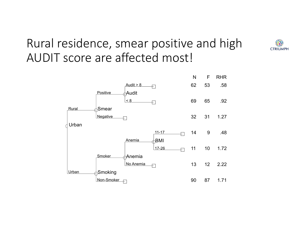### Rural residence, smear positive and high AUDIT score are affected most!



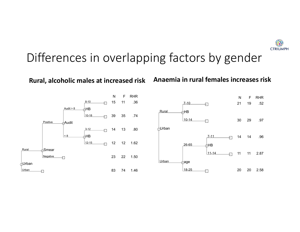

#### Differences in overlapping factors by gender

#### Rural, alcoholic males at increased risk Anaemia in rural females increases risk

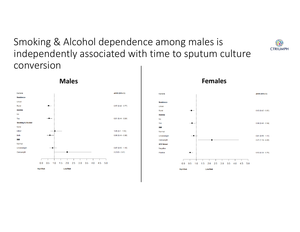Smoking & Alcohol dependence among males is independently associated with time to sputum culture conversion





#### **Males Females**

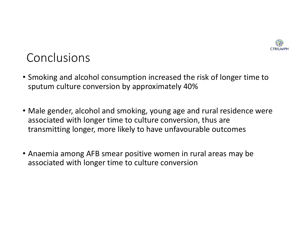

#### Conclusions

- Smoking and alcohol consumption increased the risk of longer time to sputum culture conversion by approximately 40%
- Male gender, alcohol and smoking, young age and rural residence were associated with longer time to culture conversion, thus are transmitting longer, more likely to have unfavourable outcomes
- Anaemia among AFB smear positive women in rural areas may be associated with longer time to culture conversion